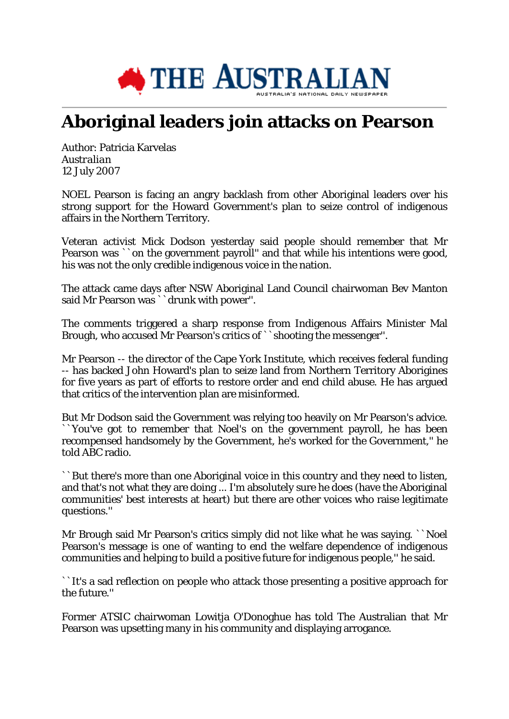

## **Aboriginal leaders join attacks on Pearson**

Author: Patricia Karvelas *Australian* 12 July 2007

NOEL Pearson is facing an angry backlash from other Aboriginal leaders over his strong support for the Howard Government's plan to seize control of indigenous affairs in the Northern Territory.

Veteran activist Mick Dodson yesterday said people should remember that Mr Pearson was `on the government payroll" and that while his intentions were good, his was not the only credible indigenous voice in the nation.

The attack came days after NSW Aboriginal Land Council chairwoman Bev Manton said Mr Pearson was ``drunk with power''.

The comments triggered a sharp response from Indigenous Affairs Minister Mal Brough, who accused Mr Pearson's critics of ``shooting the messenger''.

Mr Pearson -- the director of the Cape York Institute, which receives federal funding -- has backed John Howard's plan to seize land from Northern Territory Aborigines for five years as part of efforts to restore order and end child abuse. He has argued that critics of the intervention plan are misinformed.

But Mr Dodson said the Government was relying too heavily on Mr Pearson's advice. ``You've got to remember that Noel's on the government payroll, he has been recompensed handsomely by the Government, he's worked for the Government,'' he told ABC radio.

``But there's more than one Aboriginal voice in this country and they need to listen, and that's not what they are doing ... I'm absolutely sure he does (have the Aboriginal communities' best interests at heart) but there are other voices who raise legitimate questions.''

Mr Brough said Mr Pearson's critics simply did not like what he was saying. ``Noel Pearson's message is one of wanting to end the welfare dependence of indigenous communities and helping to build a positive future for indigenous people,'' he said.

``It's a sad reflection on people who attack those presenting a positive approach for the future.''

Former ATSIC chairwoman Lowitja O'Donoghue has told The Australian that Mr Pearson was upsetting many in his community and displaying arrogance.